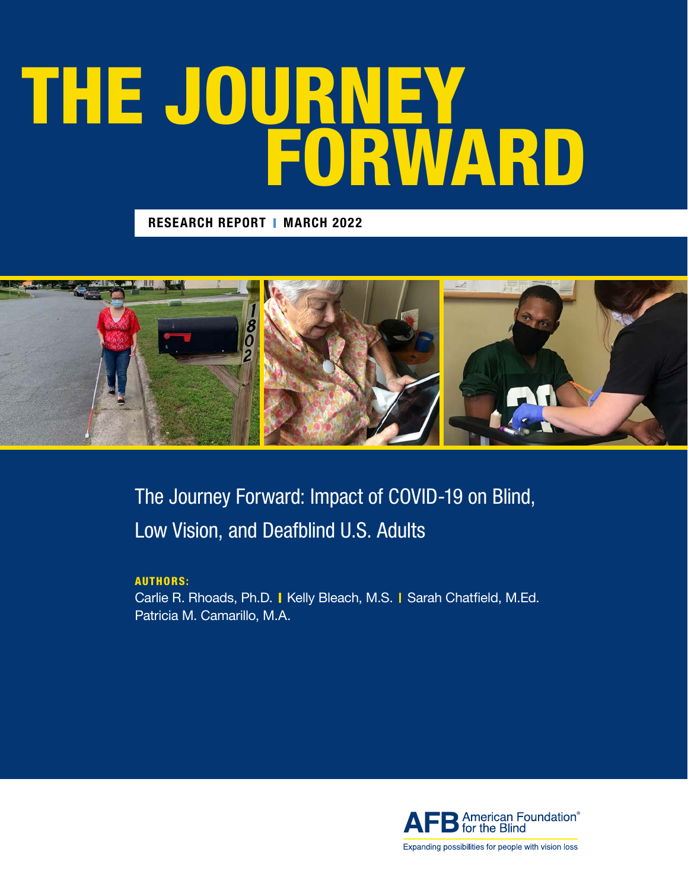## THE JOURNEY FORWARD

**RESEARCH REPORT | MARCH 2022** 



The Journey Forward: Impact of COVID-19 on Blind, Low Vision, and Deafblind U.S. Adults

#### AUTHORS:

Carlie R. Rhoads, Ph.D. I Kelly Bleach, M.S. I Sarah Chatfield, M.Ed. Patricia M. Camarillo, M.A.



Expanding possibilities for people with vision loss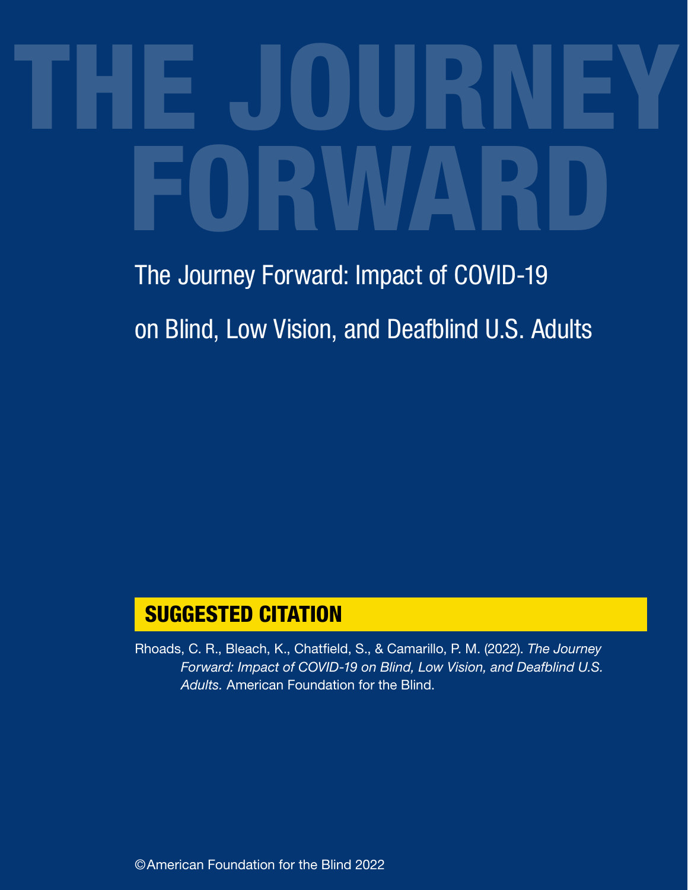# THE JOURNEY FORWARD

## The Journey Forward: Impact of COVID-19 on Blind, Low Vision, and Deafblind U.S. Adults

#### SUGGESTED CITATION

Rhoads, C. R., Bleach, K., Chatfield, S., & Camarillo, P. M. (2022). *The Journey Forward: Impact of COVID-19 on Blind, Low Vision, and Deafblind U.S. Adults.* American Foundation for the Blind.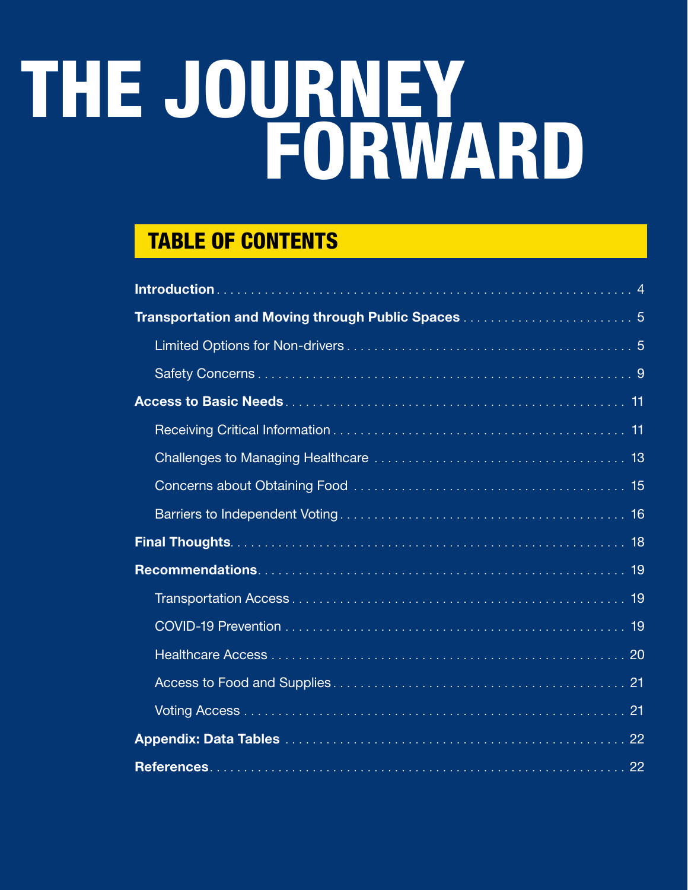## THE JOURNEY FORWARD

#### TABLE OF CONTENTS

| 22 |
|----|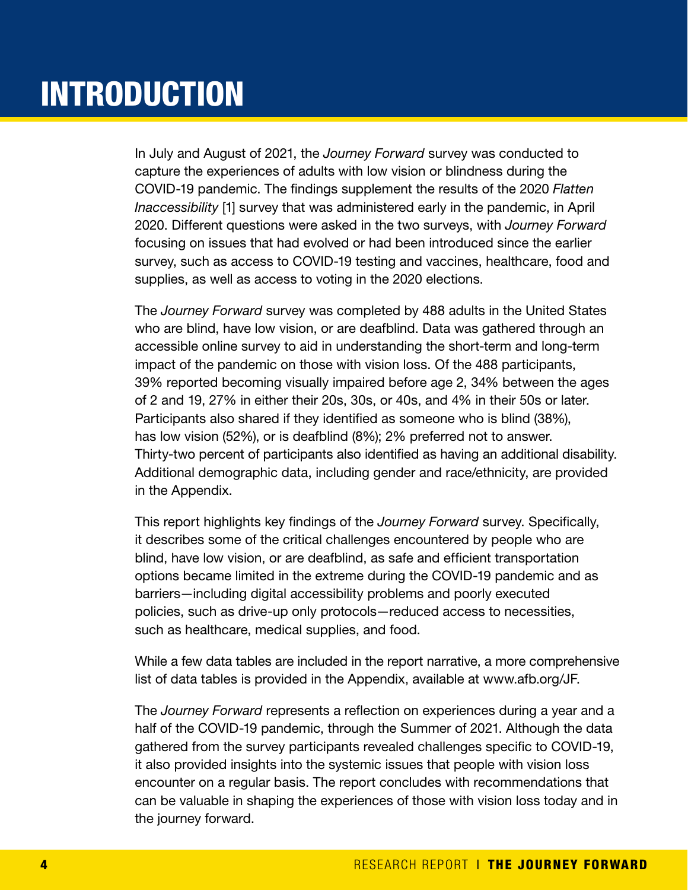## **INTRODUCTION**

In July and August of 2021, the *Journey Forward* survey was conducted to capture the experiences of adults with low vision or blindness during the COVID-19 pandemic. The findings supplement the results of the 2020 *Flatten Inaccessibility* [1] survey that was administered early in the pandemic, in April 2020. Different questions were asked in the two surveys, with *Journey Forward* focusing on issues that had evolved or had been introduced since the earlier survey, such as access to COVID-19 testing and vaccines, healthcare, food and supplies, as well as access to voting in the 2020 elections.

The *Journey Forward* survey was completed by 488 adults in the United States who are blind, have low vision, or are deafblind. Data was gathered through an accessible online survey to aid in understanding the short-term and long-term impact of the pandemic on those with vision loss. Of the 488 participants, 39% reported becoming visually impaired before age 2, 34% between the ages of 2 and 19, 27% in either their 20s, 30s, or 40s, and 4% in their 50s or later. Participants also shared if they identified as someone who is blind (38%), has low vision (52%), or is deafblind (8%); 2% preferred not to answer. Thirty-two percent of participants also identified as having an additional disability. Additional demographic data, including gender and race/ethnicity, are provided in the Appendix.

This report highlights key findings of the *Journey Forward* survey. Specifically, it describes some of the critical challenges encountered by people who are blind, have low vision, or are deafblind, as safe and efficient transportation options became limited in the extreme during the COVID-19 pandemic and as barriers—including digital accessibility problems and poorly executed policies, such as drive-up only protocols—reduced access to necessities, such as healthcare, medical supplies, and food.

While a few data tables are included in the report narrative, a more comprehensive list of data tables is provided in the Appendix, available at www.afb.org/JF.

The *Journey Forward* represents a reflection on experiences during a year and a half of the COVID-19 pandemic, through the Summer of 2021. Although the data gathered from the survey participants revealed challenges specific to COVID-19, it also provided insights into the systemic issues that people with vision loss encounter on a regular basis. The report concludes with recommendations that can be valuable in shaping the experiences of those with vision loss today and in the journey forward.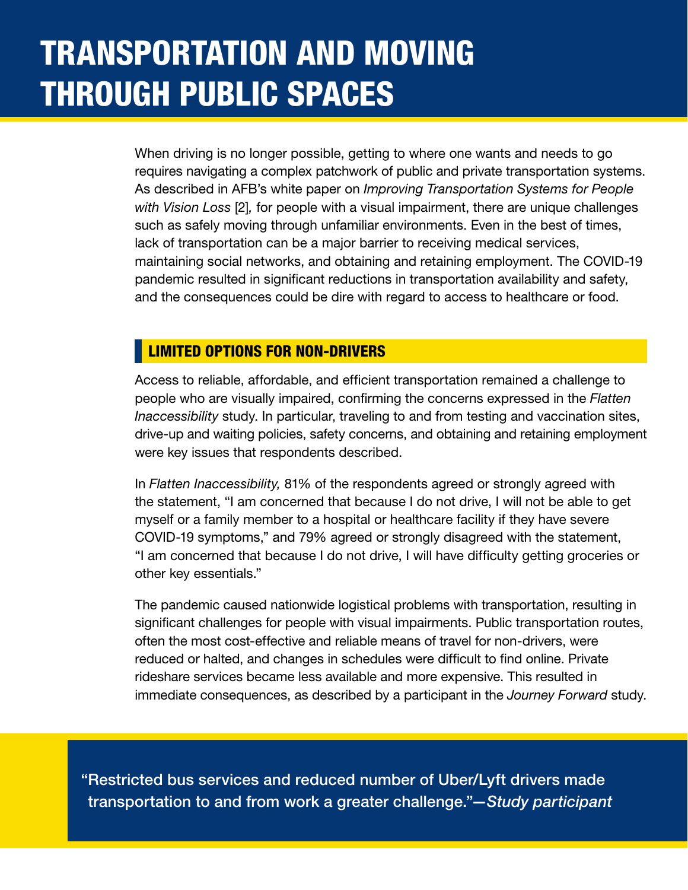## TRANSPORTATION AND MOVING THROUGH PUBLIC SPACES

When driving is no longer possible, getting to where one wants and needs to go requires navigating a complex patchwork of public and private transportation systems. As described in AFB's white paper on *Improving Transportation Systems for People with Vision Loss* [2]*,* for people with a visual impairment, there are unique challenges such as safely moving through unfamiliar environments. Even in the best of times, lack of transportation can be a major barrier to receiving medical services, maintaining social networks, and obtaining and retaining employment. The COVID-19 pandemic resulted in significant reductions in transportation availability and safety, and the consequences could be dire with regard to access to healthcare or food.

#### LIMITED OPTIONS FOR NON-DRIVERS

Access to reliable, affordable, and efficient transportation remained a challenge to people who are visually impaired, confirming the concerns expressed in the *Flatten Inaccessibility* study. In particular, traveling to and from testing and vaccination sites, drive-up and waiting policies, safety concerns, and obtaining and retaining employment were key issues that respondents described.

In *Flatten Inaccessibility,* 81% of the respondents agreed or strongly agreed with the statement, "I am concerned that because I do not drive, I will not be able to get myself or a family member to a hospital or healthcare facility if they have severe COVID-19 symptoms," and 79% agreed or strongly disagreed with the statement, "I am concerned that because I do not drive, I will have difficulty getting groceries or other key essentials."

The pandemic caused nationwide logistical problems with transportation, resulting in significant challenges for people with visual impairments. Public transportation routes, often the most cost-effective and reliable means of travel for non-drivers, were reduced or halted, and changes in schedules were difficult to find online. Private rideshare services became less available and more expensive. This resulted in immediate consequences, as described by a participant in the *Journey Forward* study.

"Restricted bus services and reduced number of Uber/Lyft drivers made transportation to and from work a greater challenge."*—Study participant*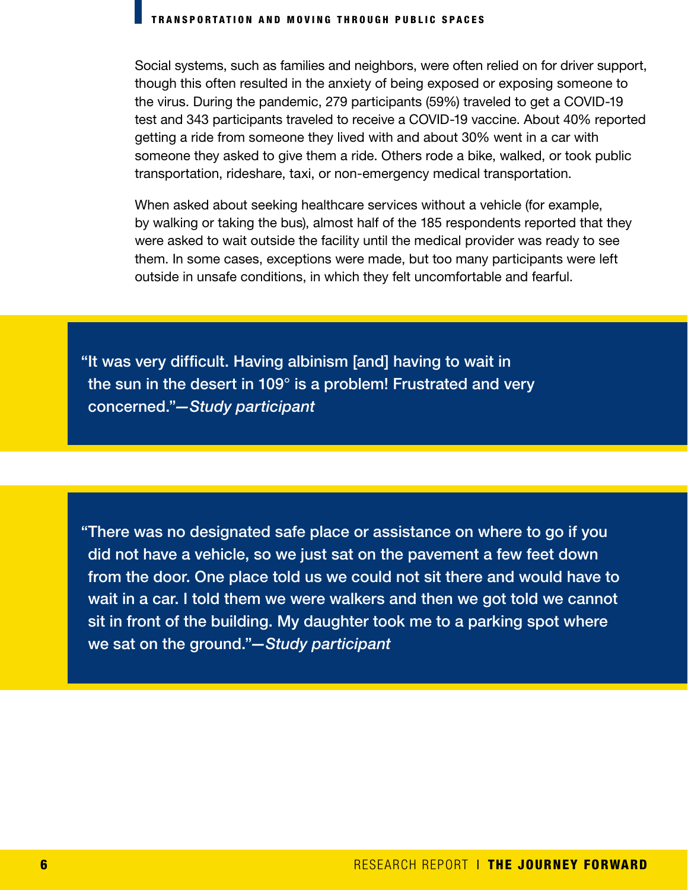#### TRANSPORTATION AND MOVING THROUGH PUBLIC SPACES

Social systems, such as families and neighbors, were often relied on for driver support, though this often resulted in the anxiety of being exposed or exposing someone to the virus. During the pandemic, 279 participants (59%) traveled to get a COVID-19 test and 343 participants traveled to receive a COVID-19 vaccine. About 40% reported getting a ride from someone they lived with and about 30% went in a car with someone they asked to give them a ride. Others rode a bike, walked, or took public transportation, rideshare, taxi, or non-emergency medical transportation.

When asked about seeking healthcare services without a vehicle (for example, by walking or taking the bus), almost half of the 185 respondents reported that they were asked to wait outside the facility until the medical provider was ready to see them. In some cases, exceptions were made, but too many participants were left outside in unsafe conditions, in which they felt uncomfortable and fearful.

"It was very difficult. Having albinism [and] having to wait in the sun in the desert in 109° is a problem! Frustrated and very concerned."*—Study participant*

"There was no designated safe place or assistance on where to go if you did not have a vehicle, so we just sat on the pavement a few feet down from the door. One place told us we could not sit there and would have to wait in a car. I told them we were walkers and then we got told we cannot sit in front of the building. My daughter took me to a parking spot where we sat on the ground."*—Study participant*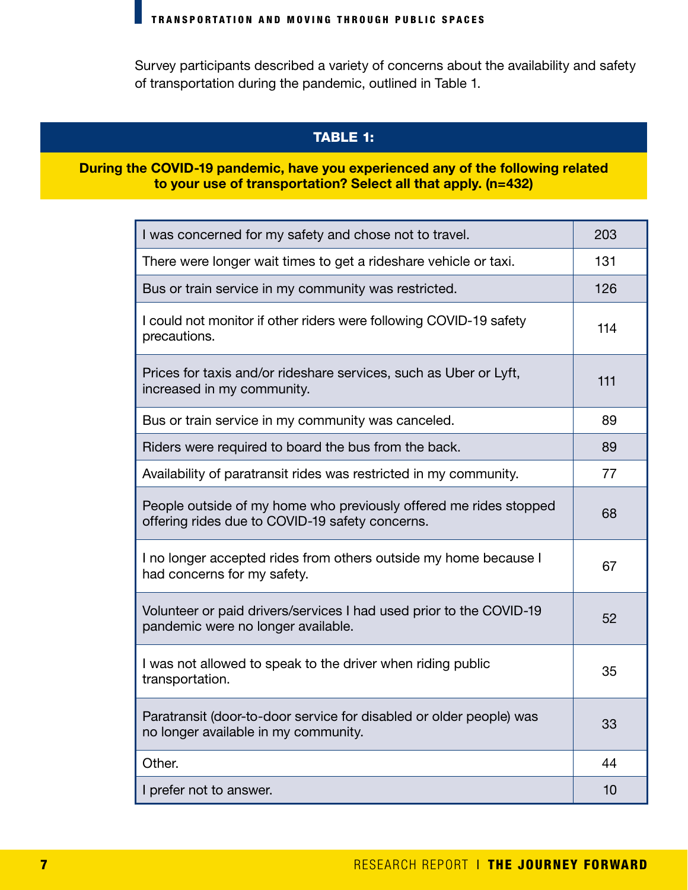Survey participants described a variety of concerns about the availability and safety of transportation during the pandemic, outlined in Table 1.

#### TABLE 1:

#### During the COVID-19 pandemic, have you experienced any of the following related to your use of transportation? Select all that apply. (n=432)

| I was concerned for my safety and chose not to travel.                                                               | 203 |
|----------------------------------------------------------------------------------------------------------------------|-----|
| There were longer wait times to get a rideshare vehicle or taxi.                                                     | 131 |
| Bus or train service in my community was restricted.                                                                 | 126 |
| I could not monitor if other riders were following COVID-19 safety<br>precautions.                                   | 114 |
| Prices for taxis and/or rideshare services, such as Uber or Lyft,<br>increased in my community.                      | 111 |
| Bus or train service in my community was canceled.                                                                   | 89  |
| Riders were required to board the bus from the back.                                                                 | 89  |
| Availability of paratransit rides was restricted in my community.                                                    | 77  |
| People outside of my home who previously offered me rides stopped<br>offering rides due to COVID-19 safety concerns. | 68  |
| I no longer accepted rides from others outside my home because I<br>had concerns for my safety.                      | 67  |
| Volunteer or paid drivers/services I had used prior to the COVID-19<br>pandemic were no longer available.            | 52  |
| I was not allowed to speak to the driver when riding public<br>transportation.                                       | 35  |
| Paratransit (door-to-door service for disabled or older people) was<br>no longer available in my community.          | 33  |
| Other.                                                                                                               | 44  |
| I prefer not to answer.                                                                                              | 10  |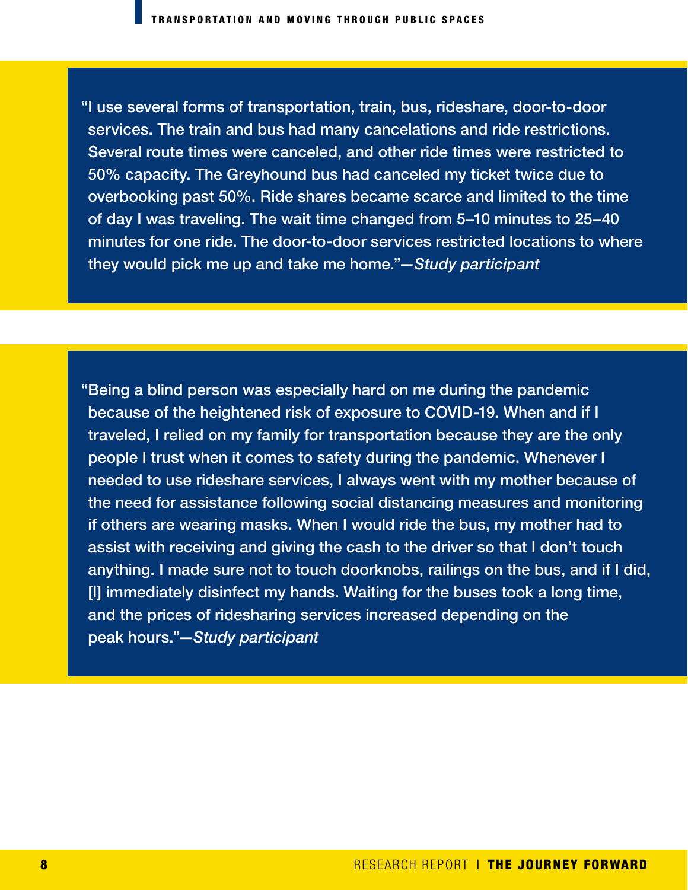"I use several forms of transportation, train, bus, rideshare, door-to-door services. The train and bus had many cancelations and ride restrictions. Several route times were canceled, and other ride times were restricted to 50% capacity. The Greyhound bus had canceled my ticket twice due to overbooking past 50%. Ride shares became scarce and limited to the time of day I was traveling. The wait time changed from 5–10 minutes to 25–40 minutes for one ride. The door-to-door services restricted locations to where they would pick me up and take me home."*—Study participant* 

"Being a blind person was especially hard on me during the pandemic because of the heightened risk of exposure to COVID-19. When and if I traveled, I relied on my family for transportation because they are the only people I trust when it comes to safety during the pandemic. Whenever I needed to use rideshare services, I always went with my mother because of the need for assistance following social distancing measures and monitoring if others are wearing masks. When I would ride the bus, my mother had to assist with receiving and giving the cash to the driver so that I don't touch anything. I made sure not to touch doorknobs, railings on the bus, and if I did, [I] immediately disinfect my hands. Waiting for the buses took a long time, and the prices of ridesharing services increased depending on the peak hours."*—Study participant*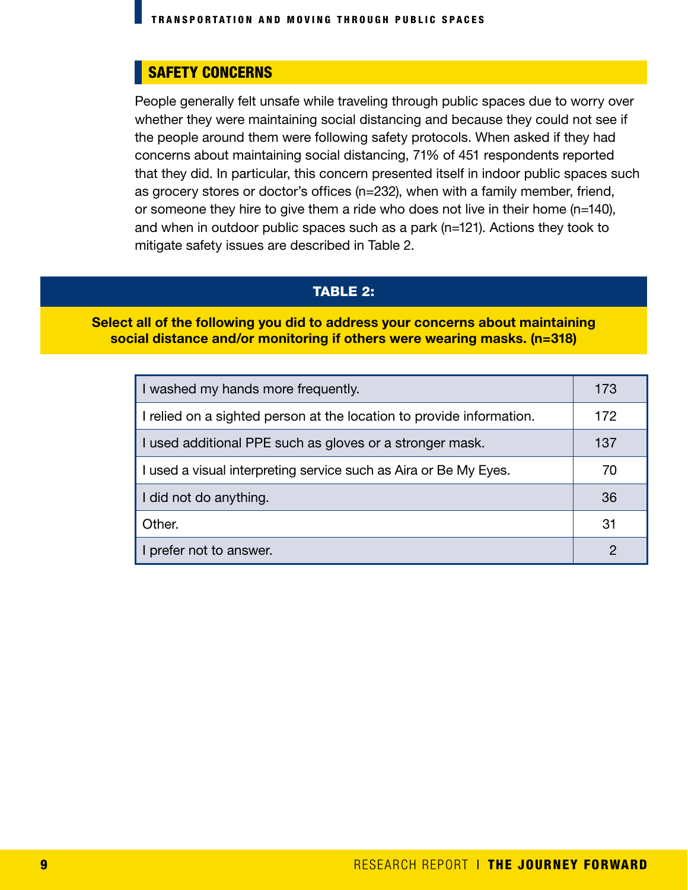#### SAFETY CONCERNS

People generally felt unsafe while traveling through public spaces due to worry over whether they were maintaining social distancing and because they could not see if the people around them were following safety protocols. When asked if they had concerns about maintaining social distancing, 71% of 451 respondents reported that they did. In particular, this concern presented itself in indoor public spaces such as grocery stores or doctor's offices (n=232), when with a family member, friend, or someone they hire to give them a ride who does not live in their home (n=140), and when in outdoor public spaces such as a park (n=121). Actions they took to mitigate safety issues are described in Table 2.

#### TABLE 2:

#### Select all of the following you did to address your concerns about maintaining social distance and/or monitoring if others were wearing masks. (n=318)

| I washed my hands more frequently.                                   | 173 |
|----------------------------------------------------------------------|-----|
| I relied on a sighted person at the location to provide information. | 172 |
| I used additional PPE such as gloves or a stronger mask.             | 137 |
| I used a visual interpreting service such as Aira or Be My Eyes.     | 70  |
| I did not do anything.                                               | 36  |
| Other.                                                               | 31  |
| I prefer not to answer.                                              | 2   |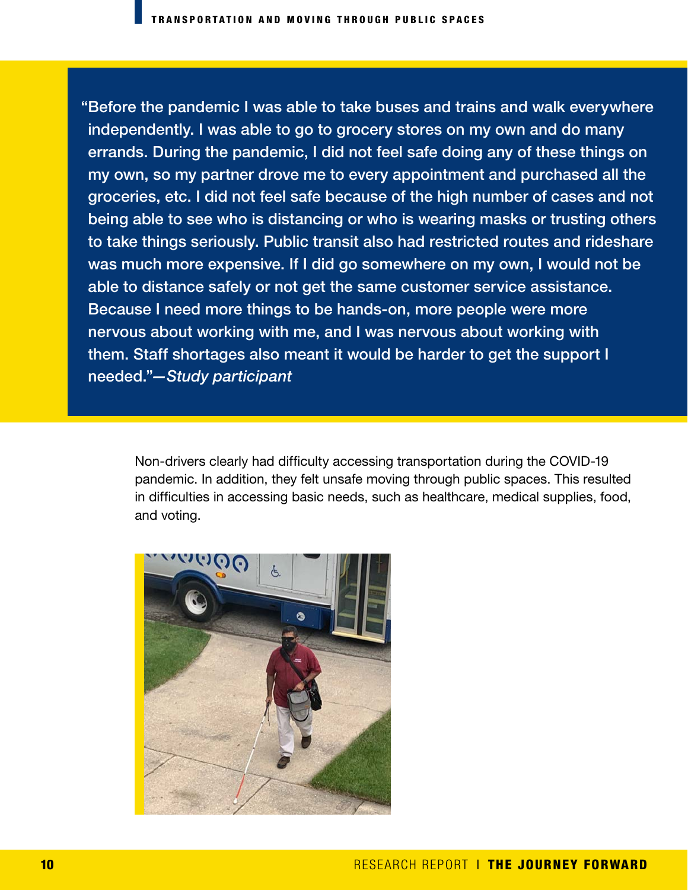"Before the pandemic I was able to take buses and trains and walk everywhere independently. I was able to go to grocery stores on my own and do many errands. During the pandemic, I did not feel safe doing any of these things on my own, so my partner drove me to every appointment and purchased all the groceries, etc. I did not feel safe because of the high number of cases and not being able to see who is distancing or who is wearing masks or trusting others to take things seriously. Public transit also had restricted routes and rideshare was much more expensive. If I did go somewhere on my own, I would not be able to distance safely or not get the same customer service assistance. Because I need more things to be hands-on, more people were more nervous about working with me, and I was nervous about working with them. Staff shortages also meant it would be harder to get the support I needed."*—Study participant*

Non-drivers clearly had difficulty accessing transportation during the COVID-19 pandemic. In addition, they felt unsafe moving through public spaces. This resulted in difficulties in accessing basic needs, such as healthcare, medical supplies, food, and voting.

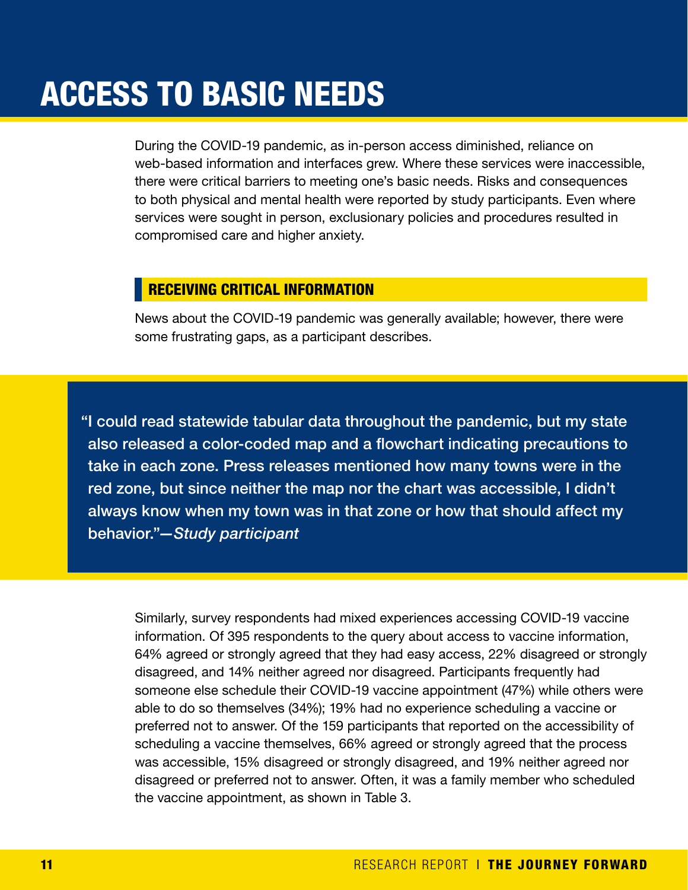## ACCESS TO BASIC NEEDS

During the COVID-19 pandemic, as in-person access diminished, reliance on web-based information and interfaces grew. Where these services were inaccessible, there were critical barriers to meeting one's basic needs. Risks and consequences to both physical and mental health were reported by study participants. Even where services were sought in person, exclusionary policies and procedures resulted in compromised care and higher anxiety.

#### RECEIVING CRITICAL INFORMATION

News about the COVID-19 pandemic was generally available; however, there were some frustrating gaps, as a participant describes.

"I could read statewide tabular data throughout the pandemic, but my state also released a color-coded map and a flowchart indicating precautions to take in each zone. Press releases mentioned how many towns were in the red zone, but since neither the map nor the chart was accessible, I didn't always know when my town was in that zone or how that should affect my behavior."*—Study participant* 

Similarly, survey respondents had mixed experiences accessing COVID-19 vaccine information. Of 395 respondents to the query about access to vaccine information, 64% agreed or strongly agreed that they had easy access, 22% disagreed or strongly disagreed, and 14% neither agreed nor disagreed. Participants frequently had someone else schedule their COVID-19 vaccine appointment (47%) while others were able to do so themselves (34%); 19% had no experience scheduling a vaccine or preferred not to answer. Of the 159 participants that reported on the accessibility of scheduling a vaccine themselves, 66% agreed or strongly agreed that the process was accessible, 15% disagreed or strongly disagreed, and 19% neither agreed nor disagreed or preferred not to answer. Often, it was a family member who scheduled the vaccine appointment, as shown in Table 3.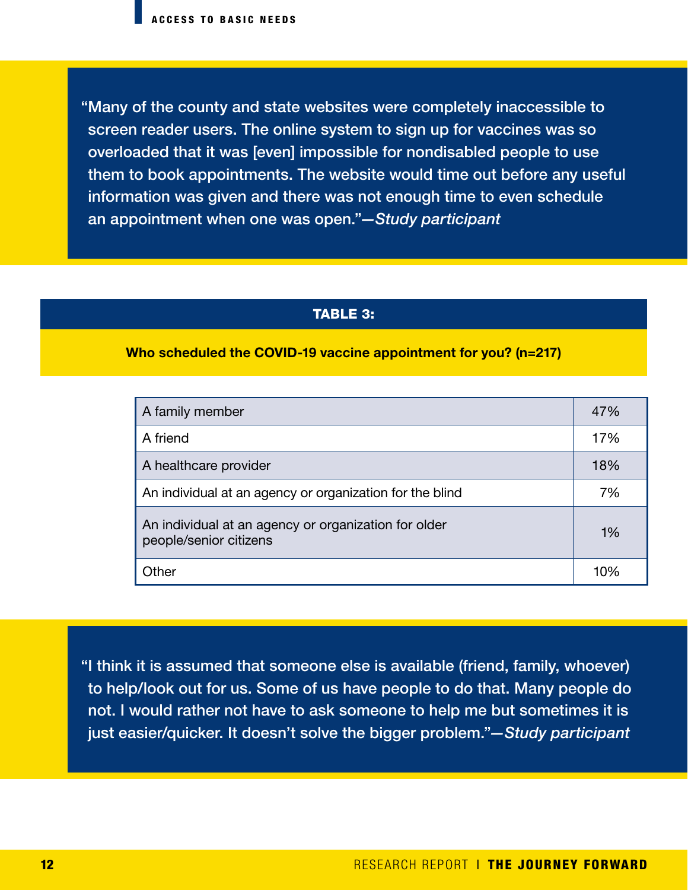"Many of the county and state websites were completely inaccessible to screen reader users. The online system to sign up for vaccines was so overloaded that it was [even] impossible for nondisabled people to use them to book appointments. The website would time out before any useful information was given and there was not enough time to even schedule an appointment when one was open."*—Study participant* 

#### TABLE 3:

#### Who scheduled the COVID-19 vaccine appointment for you? (n=217)

| A family member                                                                | 47% |
|--------------------------------------------------------------------------------|-----|
| A friend                                                                       | 17% |
| A healthcare provider                                                          | 18% |
| An individual at an agency or organization for the blind                       | 7%  |
| An individual at an agency or organization for older<br>people/senior citizens | 1%  |
| Other                                                                          | 10% |

"I think it is assumed that someone else is available (friend, family, whoever) to help/look out for us. Some of us have people to do that. Many people do not. I would rather not have to ask someone to help me but sometimes it is just easier/quicker. It doesn't solve the bigger problem."*—Study participant*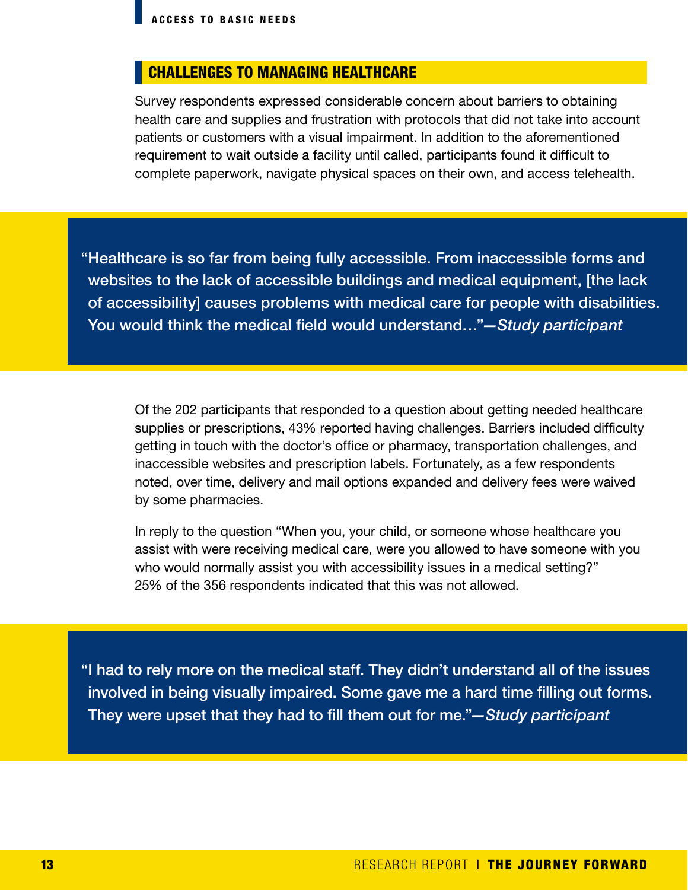#### CHALLENGES TO MANAGING HEALTHCARE

Survey respondents expressed considerable concern about barriers to obtaining health care and supplies and frustration with protocols that did not take into account patients or customers with a visual impairment. In addition to the aforementioned requirement to wait outside a facility until called, participants found it difficult to complete paperwork, navigate physical spaces on their own, and access telehealth.

"Healthcare is so far from being fully accessible. From inaccessible forms and websites to the lack of accessible buildings and medical equipment, [the lack of accessibility] causes problems with medical care for people with disabilities. You would think the medical field would understand…"*—Study participant*

Of the 202 participants that responded to a question about getting needed healthcare supplies or prescriptions, 43% reported having challenges. Barriers included difficulty getting in touch with the doctor's office or pharmacy, transportation challenges, and inaccessible websites and prescription labels. Fortunately, as a few respondents noted, over time, delivery and mail options expanded and delivery fees were waived by some pharmacies.

In reply to the question "When you, your child, or someone whose healthcare you assist with were receiving medical care, were you allowed to have someone with you who would normally assist you with accessibility issues in a medical setting?" 25% of the 356 respondents indicated that this was not allowed.

"I had to rely more on the medical staff. They didn't understand all of the issues involved in being visually impaired. Some gave me a hard time filling out forms. They were upset that they had to fill them out for me."*—Study participant*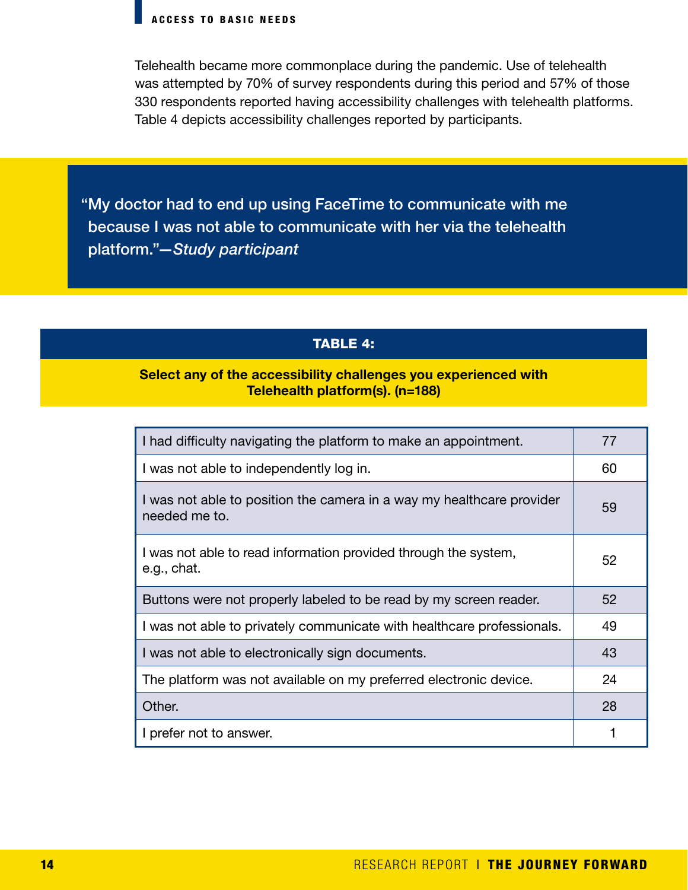Telehealth became more commonplace during the pandemic. Use of telehealth was attempted by 70% of survey respondents during this period and 57% of those 330 respondents reported having accessibility challenges with telehealth platforms. Table 4 depicts accessibility challenges reported by participants.

"My doctor had to end up using FaceTime to communicate with me because I was not able to communicate with her via the telehealth platform."*—Study participant*

#### TABLE 4:

#### Select any of the accessibility challenges you experienced with Telehealth platform(s). (n=188)

| I had difficulty navigating the platform to make an appointment.                       | 77 |
|----------------------------------------------------------------------------------------|----|
| I was not able to independently log in.                                                | 60 |
| I was not able to position the camera in a way my healthcare provider<br>needed me to. | 59 |
| I was not able to read information provided through the system,<br>e.g., chat.         | 52 |
| Buttons were not properly labeled to be read by my screen reader.                      | 52 |
| I was not able to privately communicate with healthcare professionals.                 | 49 |
| I was not able to electronically sign documents.                                       | 43 |
|                                                                                        |    |
| The platform was not available on my preferred electronic device.                      | 24 |
| Other.                                                                                 | 28 |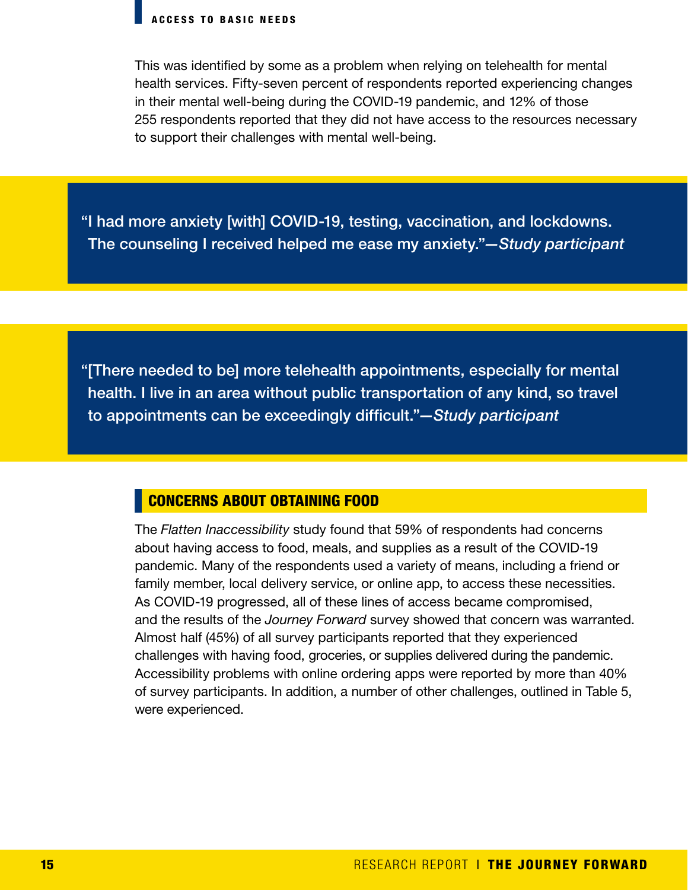This was identified by some as a problem when relying on telehealth for mental health services. Fifty-seven percent of respondents reported experiencing changes in their mental well-being during the COVID-19 pandemic, and 12% of those 255 respondents reported that they did not have access to the resources necessary to support their challenges with mental well-being.

"I had more anxiety [with] COVID-19, testing, vaccination, and lockdowns. The counseling I received helped me ease my anxiety."*—Study participant* 

"[There needed to be] more telehealth appointments, especially for mental health. I live in an area without public transportation of any kind, so travel to appointments can be exceedingly difficult."*—Study participant*

#### CONCERNS ABOUT OBTAINING FOOD

The *Flatten Inaccessibility* study found that 59% of respondents had concerns about having access to food, meals, and supplies as a result of the COVID-19 pandemic. Many of the respondents used a variety of means, including a friend or family member, local delivery service, or online app, to access these necessities. As COVID-19 progressed, all of these lines of access became compromised, and the results of the *Journey Forward* survey showed that concern was warranted. Almost half (45%) of all survey participants reported that they experienced challenges with having food, groceries, or supplies delivered during the pandemic. Accessibility problems with online ordering apps were reported by more than 40% of survey participants. In addition, a number of other challenges, outlined in Table 5, were experienced.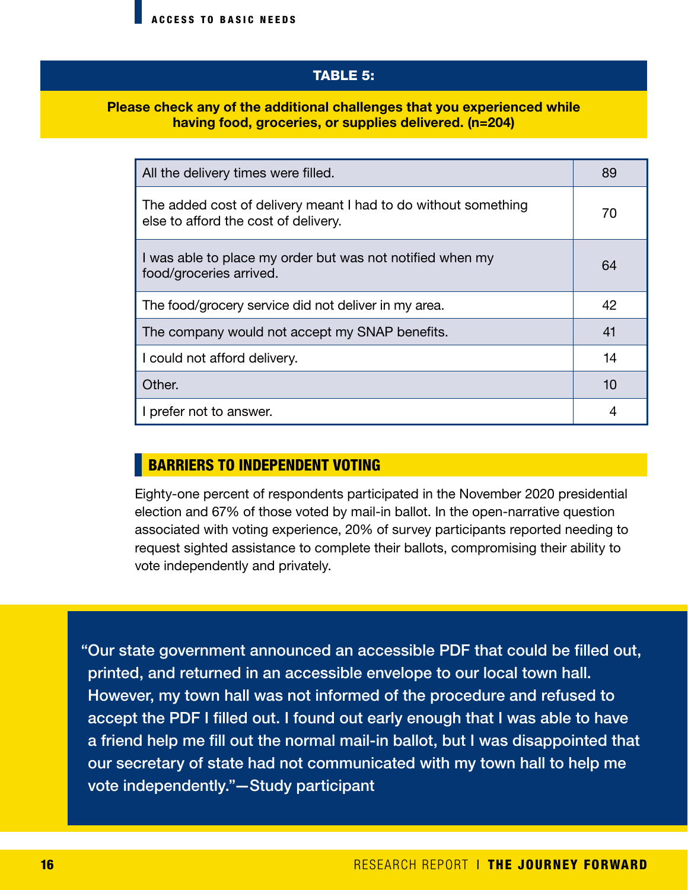#### TABLE 5:

#### Please check any of the additional challenges that you experienced while having food, groceries, or supplies delivered. (n=204)

| All the delivery times were filled.                                                                    | 89 |
|--------------------------------------------------------------------------------------------------------|----|
| The added cost of delivery meant I had to do without something<br>else to afford the cost of delivery. | 70 |
| I was able to place my order but was not notified when my<br>food/groceries arrived.                   | 64 |
| The food/grocery service did not deliver in my area.                                                   | 42 |
| The company would not accept my SNAP benefits.                                                         | 41 |
| I could not afford delivery.                                                                           | 14 |
| Other.                                                                                                 | 10 |
| I prefer not to answer.                                                                                |    |

#### BARRIERS TO INDEPENDENT VOTING

Eighty-one percent of respondents participated in the November 2020 presidential election and 67% of those voted by mail-in ballot. In the open-narrative question associated with voting experience, 20% of survey participants reported needing to request sighted assistance to complete their ballots, compromising their ability to vote independently and privately.

"Our state government announced an accessible PDF that could be filled out, printed, and returned in an accessible envelope to our local town hall. However, my town hall was not informed of the procedure and refused to accept the PDF I filled out. I found out early enough that I was able to have a friend help me fill out the normal mail-in ballot, but I was disappointed that our secretary of state had not communicated with my town hall to help me vote independently."—Study participant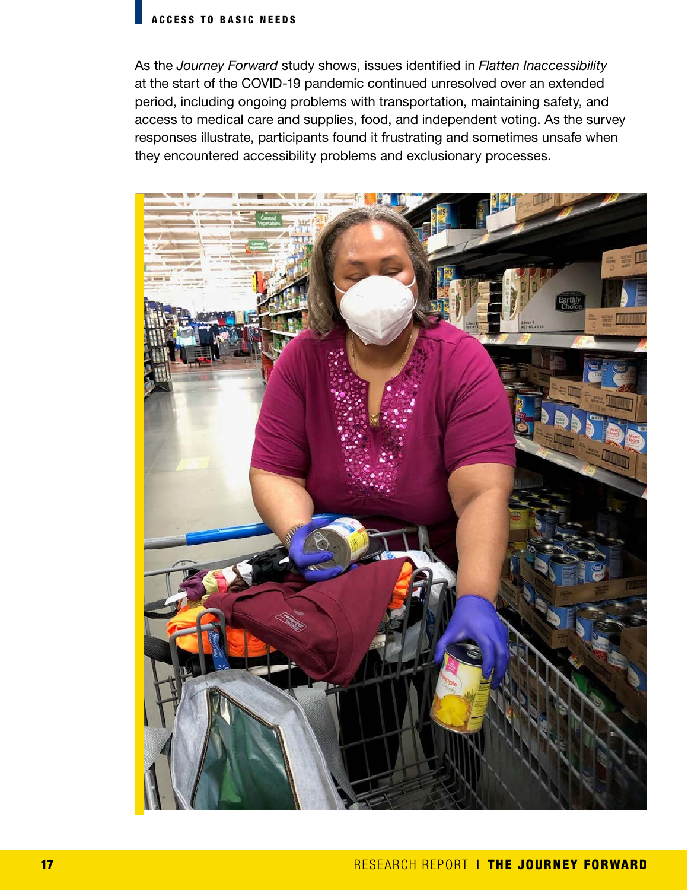#### ACCESS TO BASIC NEEDS

As the *Journey Forward* study shows, issues identified in *Flatten Inaccessibility* at the start of the COVID-19 pandemic continued unresolved over an extended period, including ongoing problems with transportation, maintaining safety, and access to medical care and supplies, food, and independent voting. As the survey responses illustrate, participants found it frustrating and sometimes unsafe when they encountered accessibility problems and exclusionary processes.

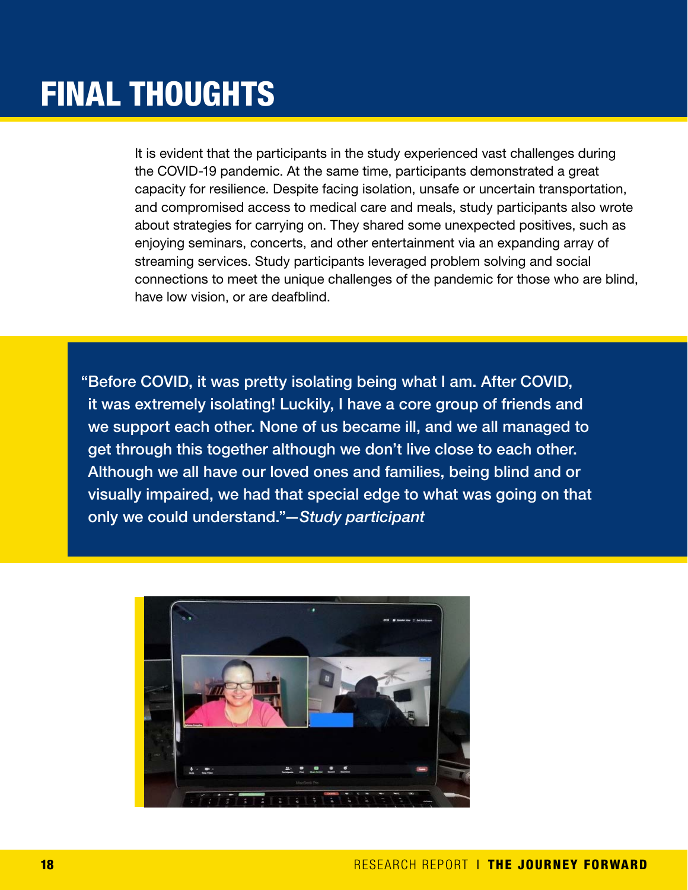## FINAL THOUGHTS

It is evident that the participants in the study experienced vast challenges during the COVID-19 pandemic. At the same time, participants demonstrated a great capacity for resilience. Despite facing isolation, unsafe or uncertain transportation, and compromised access to medical care and meals, study participants also wrote about strategies for carrying on. They shared some unexpected positives, such as enjoying seminars, concerts, and other entertainment via an expanding array of streaming services. Study participants leveraged problem solving and social connections to meet the unique challenges of the pandemic for those who are blind, have low vision, or are deafblind.

"Before COVID, it was pretty isolating being what I am. After COVID, it was extremely isolating! Luckily, I have a core group of friends and we support each other. None of us became ill, and we all managed to get through this together although we don't live close to each other. Although we all have our loved ones and families, being blind and or visually impaired, we had that special edge to what was going on that only we could understand."*—Study participant*

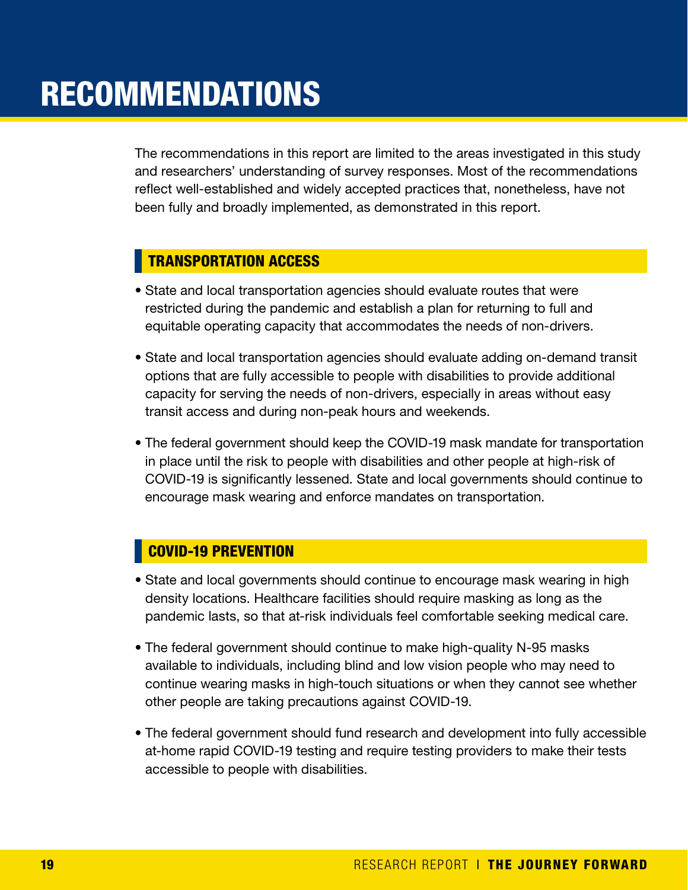The recommendations in this report are limited to the areas investigated in this study and researchers' understanding of survey responses. Most of the recommendations reflect well-established and widely accepted practices that, nonetheless, have not been fully and broadly implemented, as demonstrated in this report.

#### TRANSPORTATION ACCESS

- State and local transportation agencies should evaluate routes that were restricted during the pandemic and establish a plan for returning to full and equitable operating capacity that accommodates the needs of non-drivers.
- State and local transportation agencies should evaluate adding on-demand transit options that are fully accessible to people with disabilities to provide additional capacity for serving the needs of non-drivers, especially in areas without easy transit access and during non-peak hours and weekends.
- The federal government should keep the COVID-19 mask mandate for transportation in place until the risk to people with disabilities and other people at high-risk of COVID-19 is significantly lessened. State and local governments should continue to encourage mask wearing and enforce mandates on transportation.

#### COVID-19 PREVENTION

- State and local governments should continue to encourage mask wearing in high density locations. Healthcare facilities should require masking as long as the pandemic lasts, so that at-risk individuals feel comfortable seeking medical care.
- The federal government should continue to make high-quality N-95 masks available to individuals, including blind and low vision people who may need to continue wearing masks in high-touch situations or when they cannot see whether other people are taking precautions against COVID-19.
- The federal government should fund research and development into fully accessible at-home rapid COVID-19 testing and require testing providers to make their tests accessible to people with disabilities.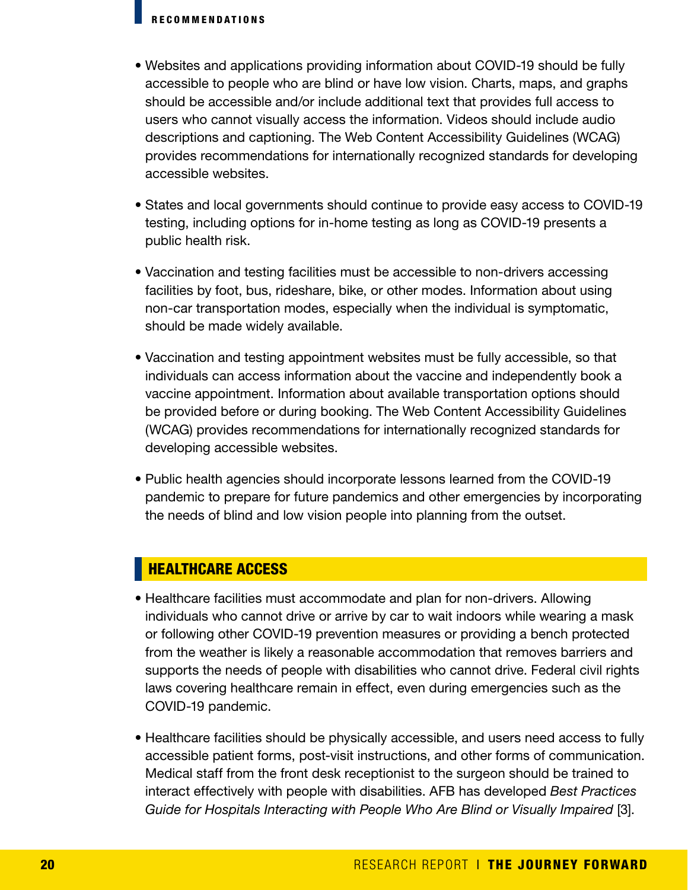- Websites and applications providing information about COVID-19 should be fully accessible to people who are blind or have low vision. Charts, maps, and graphs should be accessible and/or include additional text that provides full access to users who cannot visually access the information. Videos should include audio descriptions and captioning. The Web Content Accessibility Guidelines (WCAG) provides recommendations for internationally recognized standards for developing accessible websites.
- States and local governments should continue to provide easy access to COVID-19 testing, including options for in-home testing as long as COVID-19 presents a public health risk.
- Vaccination and testing facilities must be accessible to non-drivers accessing facilities by foot, bus, rideshare, bike, or other modes. Information about using non-car transportation modes, especially when the individual is symptomatic, should be made widely available.
- Vaccination and testing appointment websites must be fully accessible, so that individuals can access information about the vaccine and independently book a vaccine appointment. Information about available transportation options should be provided before or during booking. The Web Content Accessibility Guidelines (WCAG) provides recommendations for internationally recognized standards for developing accessible websites.
- Public health agencies should incorporate lessons learned from the COVID-19 pandemic to prepare for future pandemics and other emergencies by incorporating the needs of blind and low vision people into planning from the outset.

#### HEALTHCARE ACCESS

- Healthcare facilities must accommodate and plan for non-drivers. Allowing individuals who cannot drive or arrive by car to wait indoors while wearing a mask or following other COVID-19 prevention measures or providing a bench protected from the weather is likely a reasonable accommodation that removes barriers and supports the needs of people with disabilities who cannot drive. Federal civil rights laws covering healthcare remain in effect, even during emergencies such as the COVID-19 pandemic.
- Healthcare facilities should be physically accessible, and users need access to fully accessible patient forms, post-visit instructions, and other forms of communication. Medical staff from the front desk receptionist to the surgeon should be trained to interact effectively with people with disabilities. AFB has developed *Best Practices Guide for Hospitals Interacting with People Who Are Blind or Visually Impaired* [3].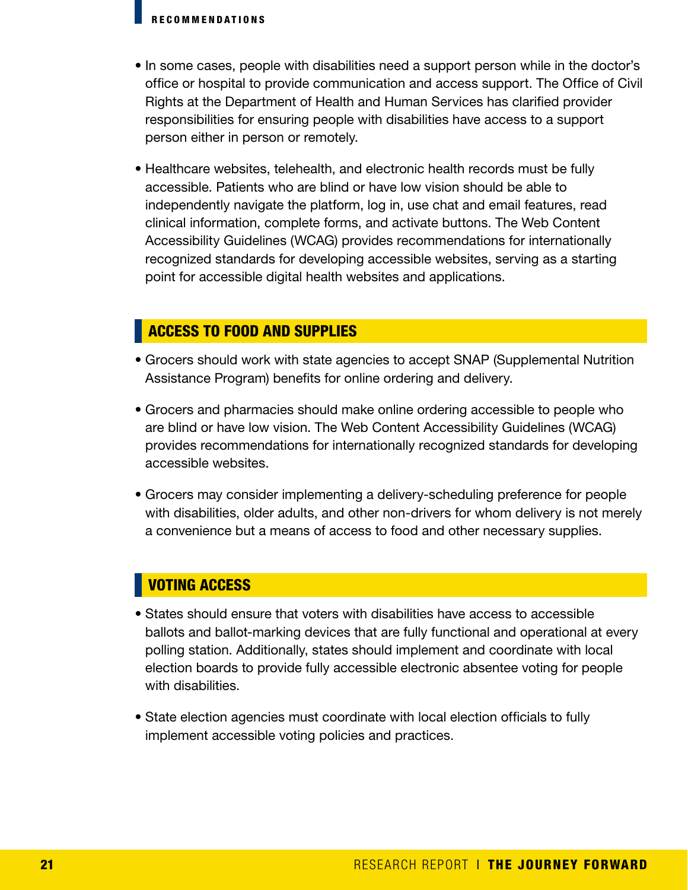- In some cases, people with disabilities need a support person while in the doctor's office or hospital to provide communication and access support. The Office of Civil Rights at the Department of Health and Human Services has clarified provider responsibilities for ensuring people with disabilities have access to a support person either in person or remotely.
- Healthcare websites, telehealth, and electronic health records must be fully accessible. Patients who are blind or have low vision should be able to independently navigate the platform, log in, use chat and email features, read clinical information, complete forms, and activate buttons. The Web Content Accessibility Guidelines (WCAG) provides recommendations for internationally recognized standards for developing accessible websites, serving as a starting point for accessible digital health websites and applications.

#### ACCESS TO FOOD AND SUPPLIES

- Grocers should work with state agencies to accept SNAP (Supplemental Nutrition Assistance Program) benefits for online ordering and delivery.
- Grocers and pharmacies should make online ordering accessible to people who are blind or have low vision. The Web Content Accessibility Guidelines (WCAG) provides recommendations for internationally recognized standards for developing accessible websites.
- Grocers may consider implementing a delivery-scheduling preference for people with disabilities, older adults, and other non-drivers for whom delivery is not merely a convenience but a means of access to food and other necessary supplies.

#### VOTING ACCESS

- States should ensure that voters with disabilities have access to accessible ballots and ballot-marking devices that are fully functional and operational at every polling station. Additionally, states should implement and coordinate with local election boards to provide fully accessible electronic absentee voting for people with disabilities.
- State election agencies must coordinate with local election officials to fully implement accessible voting policies and practices.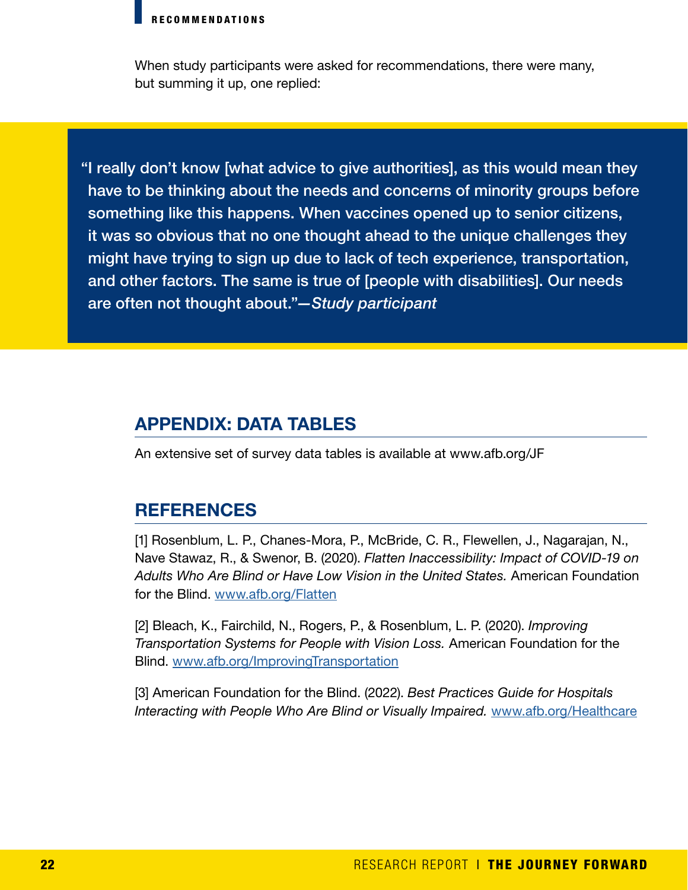When study participants were asked for recommendations, there were many, but summing it up, one replied:

"I really don't know [what advice to give authorities], as this would mean they have to be thinking about the needs and concerns of minority groups before something like this happens. When vaccines opened up to senior citizens, it was so obvious that no one thought ahead to the unique challenges they might have trying to sign up due to lack of tech experience, transportation, and other factors. The same is true of [people with disabilities]. Our needs are often not thought about."*—Study participant*

#### APPENDIX: DATA TABLES

An extensive set of survey data tables is available at www.afb.org/JF

#### **REFERENCES**

[1] Rosenblum, L. P., Chanes-Mora, P., McBride, C. R., Flewellen, J., Nagarajan, N., Nave Stawaz, R., & Swenor, B. (2020). *Flatten Inaccessibility: Impact of COVID-19 on Adults Who Are Blind or Have Low Vision in the United States.* American Foundation for the Blind. [www.afb.org/Flatten](https://www.afb.org/research-and-initiatives/flatten-inaccessibility-survey)

[2] Bleach, K., Fairchild, N., Rogers, P., & Rosenblum, L. P. (2020). *Improving Transportation Systems for People with Vision Loss.* American Foundation for the Blind. [www.afb.org/ImprovingTransportation](https://www.afb.org/sites/default/files/2020-03/Improving-Transportation-Systems-People-Vision-Loss.pdf)

[3] American Foundation for the Blind. (2022). *Best Practices Guide for Hospitals Interacting with People Who Are Blind or Visually Impaired.* [www.afb.org/Healthcare](https://www.afb.org/research-and-initiatives/serving-needs-individuals-visual-impairments-healthcare-setting)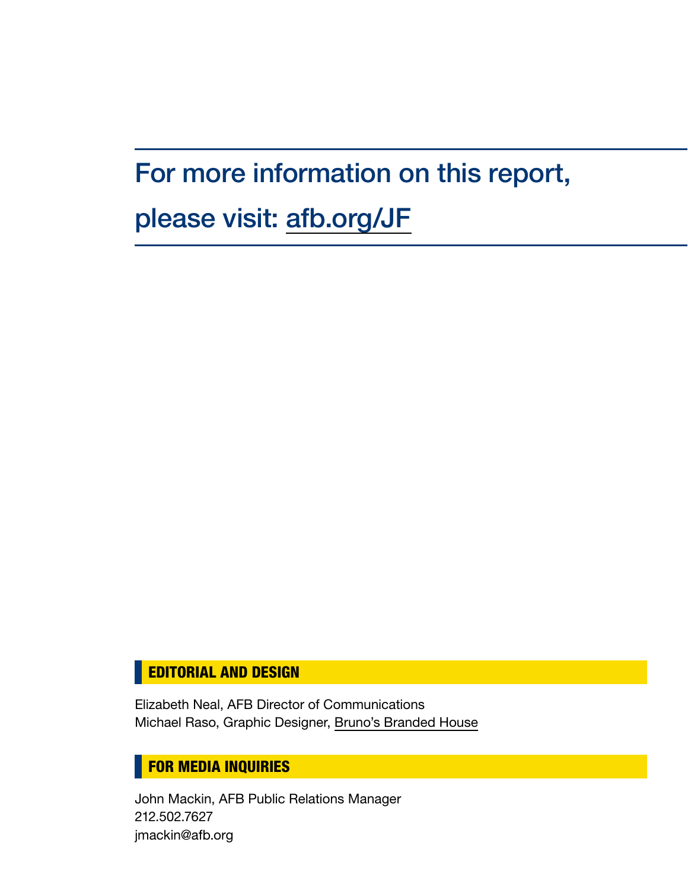### For more information on this report,

### please visit: [afb.org/JF](https://www.afb.org/research-and-initiatives/covid-19-research/journey-forward)

#### **EDITORIAL AND DESIGN**

Elizabeth Neal, AFB Director of Communications Michael Raso, Graphic Designer, [Bruno's Branded House](https://www.brunosbrandedhouse.com/)

#### **FOR MEDIA INQUIRIES**

John Mackin, AFB Public Relations Manager 212.502.7627 jmackin@afb.org